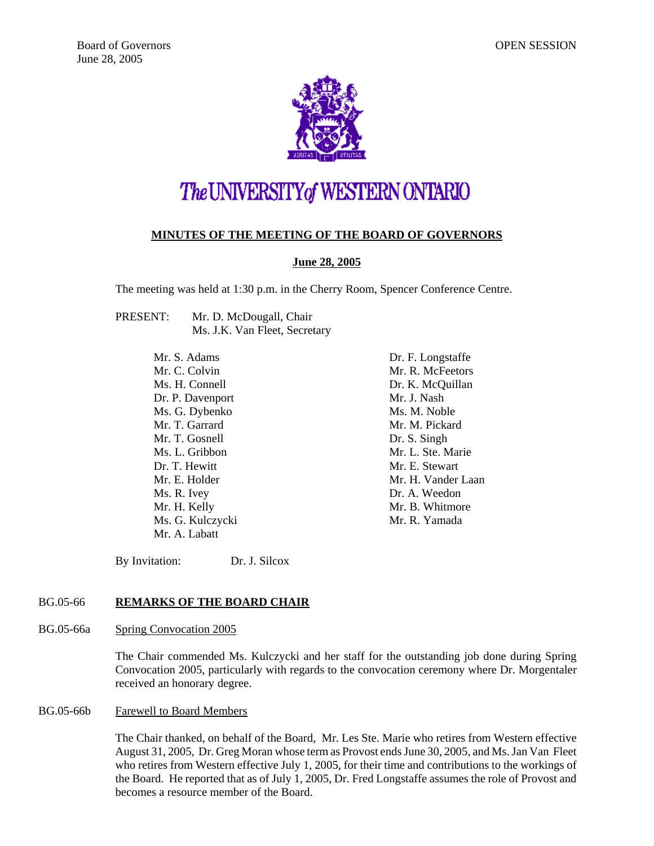

# The UNIVERSITY of WESTERN ONTARIO

# **MINUTES OF THE MEETING OF THE BOARD OF GOVERNORS**

# **June 28, 2005**

The meeting was held at 1:30 p.m. in the Cherry Room, Spencer Conference Centre.

PRESENT: Mr. D. McDougall, Chair Ms. J.K. Van Fleet, Secretary

> Mr. S. Adams Mr. C. Colvin Ms. H. Connell Dr. P. Davenport Ms. G. Dybenko Mr. T. Garrard Mr. T. Gosnell Ms. L. Gribbon Dr. T. Hewitt Mr. E. Holder Ms. R. Ivey Mr. H. Kelly Ms. G. Kulczycki Mr. A. Labatt

Dr. F. Longstaffe Mr. R. McFeetors Dr. K. McQuillan Mr. J. Nash Ms. M. Noble Mr. M. Pickard Dr. S. Singh Mr. L. Ste. Marie Mr. E. Stewart Mr. H. Vander Laan Dr. A. Weedon Mr. B. Whitmore Mr. R. Yamada

By Invitation: Dr. J. Silcox

# BG.05-66 **REMARKS OF THE BOARD CHAIR**

BG.05-66a Spring Convocation 2005

The Chair commended Ms. Kulczycki and her staff for the outstanding job done during Spring Convocation 2005, particularly with regards to the convocation ceremony where Dr. Morgentaler received an honorary degree.

#### BG.05-66b Farewell to Board Members

The Chair thanked, on behalf of the Board, Mr. Les Ste. Marie who retires from Western effective August 31, 2005, Dr. Greg Moran whose term as Provost ends June 30, 2005, and Ms. Jan Van Fleet who retires from Western effective July 1, 2005, for their time and contributions to the workings of the Board. He reported that as of July 1, 2005, Dr. Fred Longstaffe assumes the role of Provost and becomes a resource member of the Board.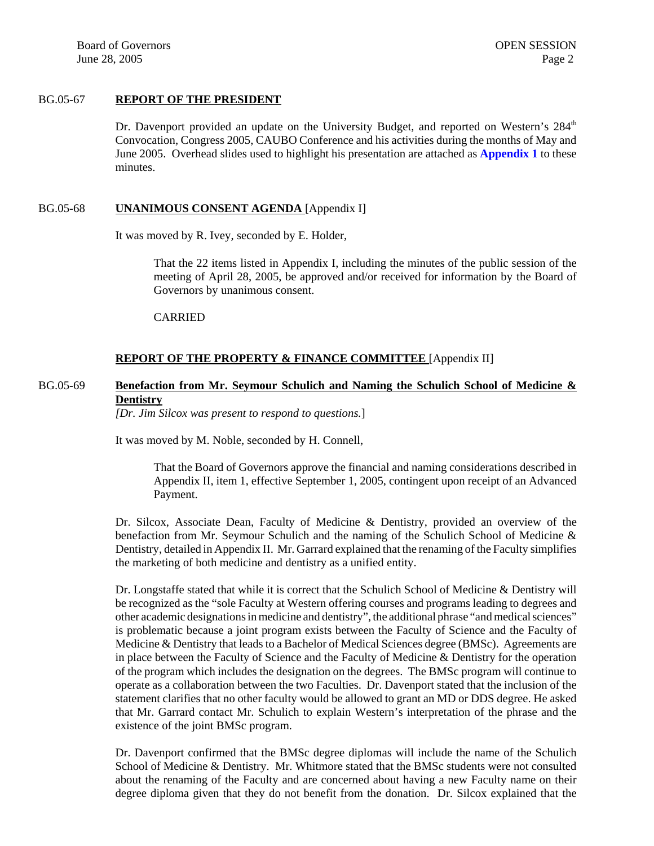Board of Governors **OPEN SESSION** June  $28, 2005$  Page 2

# BG.05-67 **REPORT OF THE PRESIDENT**

Dr. Davenport provided an update on the University Budget, and reported on Western's  $284<sup>th</sup>$ Convocation, Congress 2005, CAUBO Conference and his activities during the months of May and June 2005. Overhead slides used to highlight his presentation are attached as **[Appendix 1](#page-7-0)** to these minutes.

#### BG.05-68 **UNANIMOUS CONSENT AGENDA** [Appendix I]

It was moved by R. Ivey, seconded by E. Holder,

That the 22 items listed in Appendix I, including the minutes of the public session of the meeting of April 28, 2005, be approved and/or received for information by the Board of Governors by unanimous consent.

CARRIED

# **REPORT OF THE PROPERTY & FINANCE COMMITTEE** [Appendix II]

# BG.05-69 **Benefaction from Mr. Seymour Schulich and Naming the Schulich School of Medicine & Dentistry**

*[Dr. Jim Silcox was present to respond to questions.*]

It was moved by M. Noble, seconded by H. Connell,

That the Board of Governors approve the financial and naming considerations described in Appendix II, item 1, effective September 1, 2005, contingent upon receipt of an Advanced Payment.

Dr. Silcox, Associate Dean, Faculty of Medicine & Dentistry, provided an overview of the benefaction from Mr. Seymour Schulich and the naming of the Schulich School of Medicine & Dentistry, detailed in Appendix II. Mr. Garrard explained that the renaming of the Faculty simplifies the marketing of both medicine and dentistry as a unified entity.

Dr. Longstaffe stated that while it is correct that the Schulich School of Medicine & Dentistry will be recognized as the "sole Faculty at Western offering courses and programs leading to degrees and other academic designations in medicine and dentistry", the additional phrase "and medical sciences" is problematic because a joint program exists between the Faculty of Science and the Faculty of Medicine & Dentistry that leads to a Bachelor of Medical Sciences degree (BMSc). Agreements are in place between the Faculty of Science and the Faculty of Medicine & Dentistry for the operation of the program which includes the designation on the degrees. The BMSc program will continue to operate as a collaboration between the two Faculties. Dr. Davenport stated that the inclusion of the statement clarifies that no other faculty would be allowed to grant an MD or DDS degree. He asked that Mr. Garrard contact Mr. Schulich to explain Western's interpretation of the phrase and the existence of the joint BMSc program.

Dr. Davenport confirmed that the BMSc degree diplomas will include the name of the Schulich School of Medicine & Dentistry. Mr. Whitmore stated that the BMSc students were not consulted about the renaming of the Faculty and are concerned about having a new Faculty name on their degree diploma given that they do not benefit from the donation. Dr. Silcox explained that the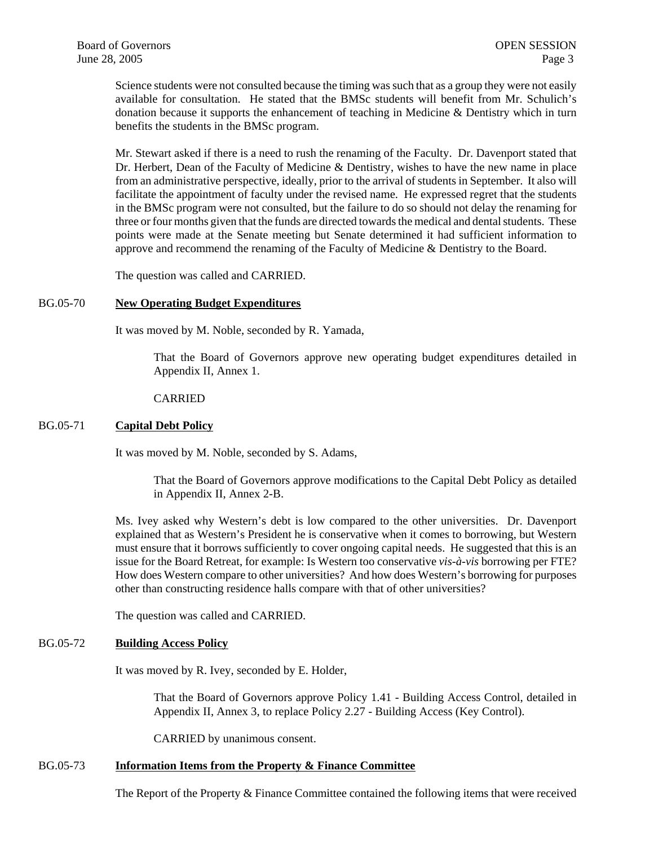Science students were not consulted because the timing was such that as a group they were not easily available for consultation. He stated that the BMSc students will benefit from Mr. Schulich's donation because it supports the enhancement of teaching in Medicine & Dentistry which in turn benefits the students in the BMSc program.

Mr. Stewart asked if there is a need to rush the renaming of the Faculty. Dr. Davenport stated that Dr. Herbert, Dean of the Faculty of Medicine & Dentistry, wishes to have the new name in place from an administrative perspective, ideally, prior to the arrival of students in September. It also will facilitate the appointment of faculty under the revised name. He expressed regret that the students in the BMSc program were not consulted, but the failure to do so should not delay the renaming for three or four months given that the funds are directed towards the medical and dental students. These points were made at the Senate meeting but Senate determined it had sufficient information to approve and recommend the renaming of the Faculty of Medicine & Dentistry to the Board.

The question was called and CARRIED.

#### BG.05-70 **New Operating Budget Expenditures**

It was moved by M. Noble, seconded by R. Yamada,

That the Board of Governors approve new operating budget expenditures detailed in Appendix II, Annex 1.

#### CARRIED

#### BG.05-71 **Capital Debt Policy**

It was moved by M. Noble, seconded by S. Adams,

That the Board of Governors approve modifications to the Capital Debt Policy as detailed in Appendix II, Annex 2-B.

Ms. Ivey asked why Western's debt is low compared to the other universities. Dr. Davenport explained that as Western's President he is conservative when it comes to borrowing, but Western must ensure that it borrows sufficiently to cover ongoing capital needs. He suggested that this is an issue for the Board Retreat, for example: Is Western too conservative *vis-à-vis* borrowing per FTE? How does Western compare to other universities? And how does Western's borrowing for purposes other than constructing residence halls compare with that of other universities?

The question was called and CARRIED.

#### BG.05-72 **Building Access Policy**

It was moved by R. Ivey, seconded by E. Holder,

That the Board of Governors approve Policy 1.41 - Building Access Control, detailed in Appendix II, Annex 3, to replace Policy 2.27 - Building Access (Key Control).

CARRIED by unanimous consent.

#### BG.05-73 **Information Items from the Property & Finance Committee**

The Report of the Property & Finance Committee contained the following items that were received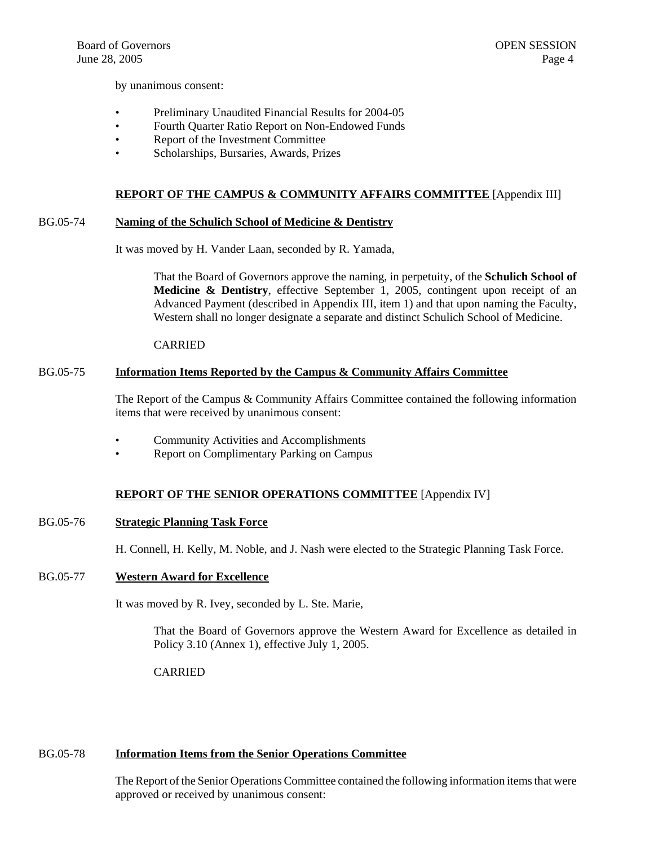by unanimous consent:

- Preliminary Unaudited Financial Results for 2004-05
- Fourth Quarter Ratio Report on Non-Endowed Funds
- Report of the Investment Committee
- Scholarships, Bursaries, Awards, Prizes

#### **REPORT OF THE CAMPUS & COMMUNITY AFFAIRS COMMITTEE** [Appendix III]

#### BG.05-74 **Naming of the Schulich School of Medicine & Dentistry**

It was moved by H. Vander Laan, seconded by R. Yamada,

That the Board of Governors approve the naming, in perpetuity, of the **Schulich School of Medicine & Dentistry**, effective September 1, 2005, contingent upon receipt of an Advanced Payment (described in Appendix III, item 1) and that upon naming the Faculty, Western shall no longer designate a separate and distinct Schulich School of Medicine.

#### CARRIED

#### BG.05-75 **Information Items Reported by the Campus & Community Affairs Committee**

The Report of the Campus & Community Affairs Committee contained the following information items that were received by unanimous consent:

- Community Activities and Accomplishments
- Report on Complimentary Parking on Campus

#### **REPORT OF THE SENIOR OPERATIONS COMMITTEE** [Appendix IV]

#### BG.05-76 **Strategic Planning Task Force**

H. Connell, H. Kelly, M. Noble, and J. Nash were elected to the Strategic Planning Task Force.

#### BG.05-77 **Western Award for Excellence**

It was moved by R. Ivey, seconded by L. Ste. Marie,

That the Board of Governors approve the Western Award for Excellence as detailed in Policy 3.10 (Annex 1), effective July 1, 2005.

CARRIED

#### BG.05-78 **Information Items from the Senior Operations Committee**

The Report of the Senior Operations Committee contained the following information items that were approved or received by unanimous consent: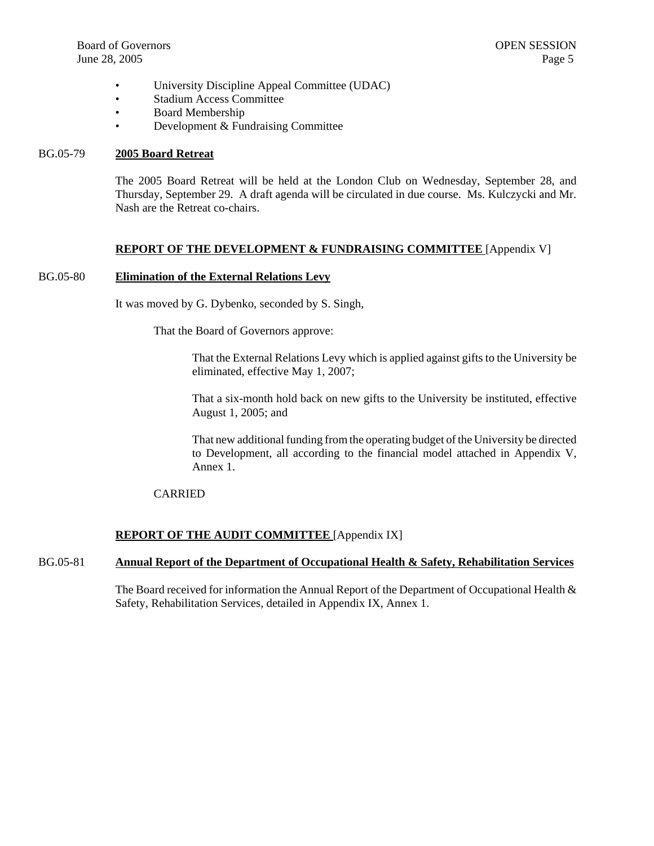- University Discipline Appeal Committee (UDAC)
- Stadium Access Committee
- Board Membership
- Development & Fundraising Committee

#### BG.05-79 **2005 Board Retreat**

The 2005 Board Retreat will be held at the London Club on Wednesday, September 28, and Thursday, September 29. A draft agenda will be circulated in due course. Ms. Kulczycki and Mr. Nash are the Retreat co-chairs.

#### **REPORT OF THE DEVELOPMENT & FUNDRAISING COMMITTEE** [Appendix V]

#### BG.05-80 **Elimination of the External Relations Levy**

It was moved by G. Dybenko, seconded by S. Singh,

That the Board of Governors approve:

That the External Relations Levy which is applied against gifts to the University be eliminated, effective May 1, 2007;

That a six-month hold back on new gifts to the University be instituted, effective August 1, 2005; and

That new additional funding from the operating budget of the University be directed to Development, all according to the financial model attached in Appendix V, Annex 1.

# CARRIED

# **REPORT OF THE AUDIT COMMITTEE** [Appendix IX]

# BG.05-81 **Annual Report of the Department of Occupational Health & Safety, Rehabilitation Services**

The Board received for information the Annual Report of the Department of Occupational Health  $\&$ Safety, Rehabilitation Services, detailed in Appendix IX, Annex 1.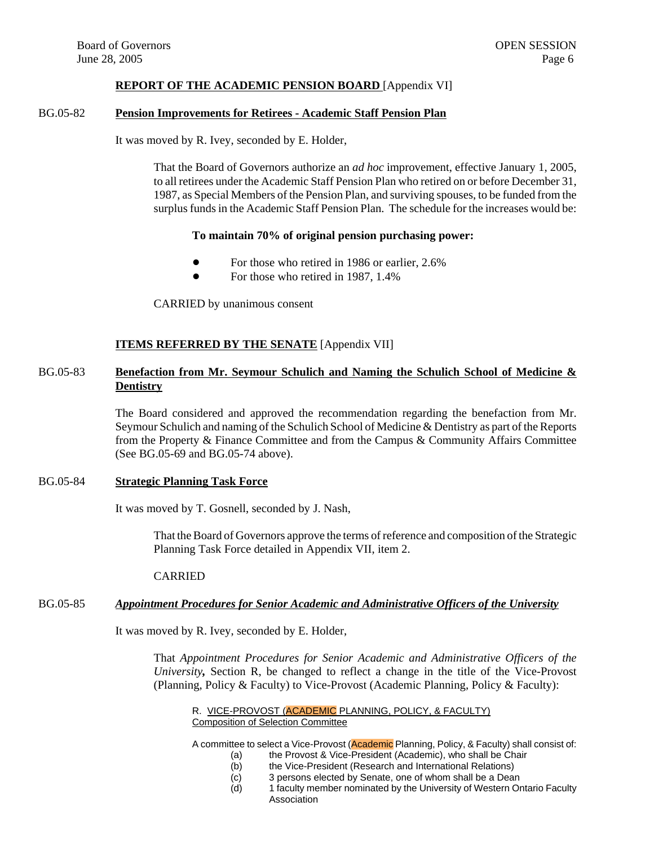#### **REPORT OF THE ACADEMIC PENSION BOARD** [Appendix VI]

#### BG.05-82 **Pension Improvements for Retirees - Academic Staff Pension Plan**

It was moved by R. Ivey, seconded by E. Holder,

That the Board of Governors authorize an *ad hoc* improvement, effective January 1, 2005, to all retirees under the Academic Staff Pension Plan who retired on or before December 31, 1987, as Special Members of the Pension Plan, and surviving spouses, to be funded from the surplus funds in the Academic Staff Pension Plan. The schedule for the increases would be:

#### **To maintain 70% of original pension purchasing power:**

- ! For those who retired in 1986 or earlier, 2.6%
- For those who retired in 1987, 1.4%

CARRIED by unanimous consent

#### **ITEMS REFERRED BY THE SENATE** [Appendix VII]

# BG.05-83 **Benefaction from Mr. Seymour Schulich and Naming the Schulich School of Medicine & Dentistry**

The Board considered and approved the recommendation regarding the benefaction from Mr. Seymour Schulich and naming of the Schulich School of Medicine & Dentistry as part of the Reports from the Property & Finance Committee and from the Campus & Community Affairs Committee (See BG.05-69 and BG.05-74 above).

#### BG.05-84 **Strategic Planning Task Force**

It was moved by T. Gosnell, seconded by J. Nash,

That the Board of Governors approve the terms of reference and composition of the Strategic Planning Task Force detailed in Appendix VII, item 2.

#### CARRIED

#### BG.05-85 *Appointment Procedures for Senior Academic and Administrative Officers of the University*

It was moved by R. Ivey, seconded by E. Holder,

That *Appointment Procedures for Senior Academic and Administrative Officers of the University,* Section R, be changed to reflect a change in the title of the Vice-Provost (Planning, Policy & Faculty) to Vice-Provost (Academic Planning, Policy & Faculty):

R. VICE-PROVOST (ACADEMIC PLANNING, POLICY, & FACULTY) Composition of Selection Committee

A committee to select a Vice-Provost (Academic Planning, Policy, & Faculty) shall consist of:

- (a) the Provost & Vice-President (Academic), who shall be Chair
- (b) the Vice-President (Research and International Relations)
- 
- (c) 3 persons elected by Senate, one of whom shall be a Dean<br>(d) 1 faculty member nominated by the University of Western Or 1 faculty member nominated by the University of Western Ontario Faculty Association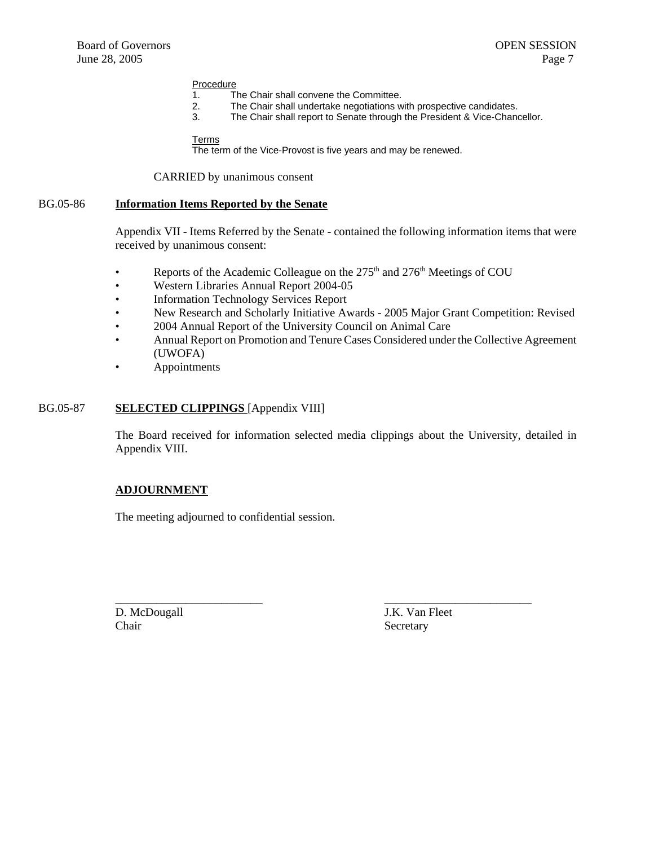# Procedure<br>1. T

- The Chair shall convene the Committee.
- 2. The Chair shall undertake negotiations with prospective candidates.<br>3. The Chair shall report to Senate through the President & Vice-Chane
- The Chair shall report to Senate through the President & Vice-Chancellor.

#### Terms

The term of the Vice-Provost is five years and may be renewed.

#### CARRIED by unanimous consent

#### BG.05-86 **Information Items Reported by the Senate**

Appendix VII - Items Referred by the Senate - contained the following information items that were received by unanimous consent:

- Reports of the Academic Colleague on the  $275<sup>th</sup>$  and  $276<sup>th</sup>$  Meetings of COU
- Western Libraries Annual Report 2004-05
- Information Technology Services Report
- New Research and Scholarly Initiative Awards 2005 Major Grant Competition: Revised
- 2004 Annual Report of the University Council on Animal Care
- Annual Report on Promotion and Tenure Cases Considered under the Collective Agreement (UWOFA)
- Appointments

#### BG.05-87 **SELECTED CLIPPINGS** [Appendix VIII]

The Board received for information selected media clippings about the University, detailed in Appendix VIII.

\_\_\_\_\_\_\_\_\_\_\_\_\_\_\_\_\_\_\_\_\_\_\_\_\_ \_\_\_\_\_\_\_\_\_\_\_\_\_\_\_\_\_\_\_\_\_\_\_\_\_

#### **ADJOURNMENT**

The meeting adjourned to confidential session.

D. McDougall J.K. Van Fleet Chair Secretary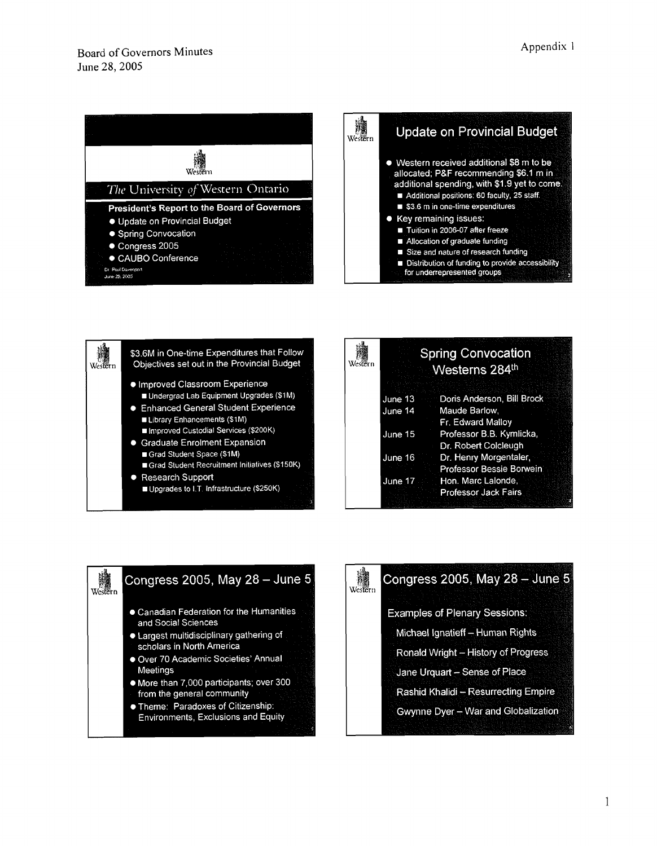<span id="page-7-0"></span>





| Western |         | <b>Spring Convocation</b><br>Westerns 284th |  |
|---------|---------|---------------------------------------------|--|
|         | June 13 | Doris Anderson, Bill Brock                  |  |
|         | June 14 | Maude Barlow.                               |  |
|         |         | Fr. Edward Mallov                           |  |
|         | June 15 | Professor B.B. Kymlicka,                    |  |
|         |         | Dr. Robert Colcleugh                        |  |
|         | June 16 | Dr. Henry Morgentaler,                      |  |
|         |         | Professor Bessie Borwein                    |  |
|         | June 17 | Hon. Marc Lalonde,                          |  |
|         |         | <b>Professor Jack Fairs</b>                 |  |
|         |         |                                             |  |



# Congress 2005, May 28 - June 5

Western

**Examples of Plenary Sessions:** 

Michael Ignatieff - Human Rights

Ronald Wright - History of Progress

Jane Urquart - Sense of Place

Rashid Khalidi - Resurrecting Empire

Gwynne Dyer - War and Globalization